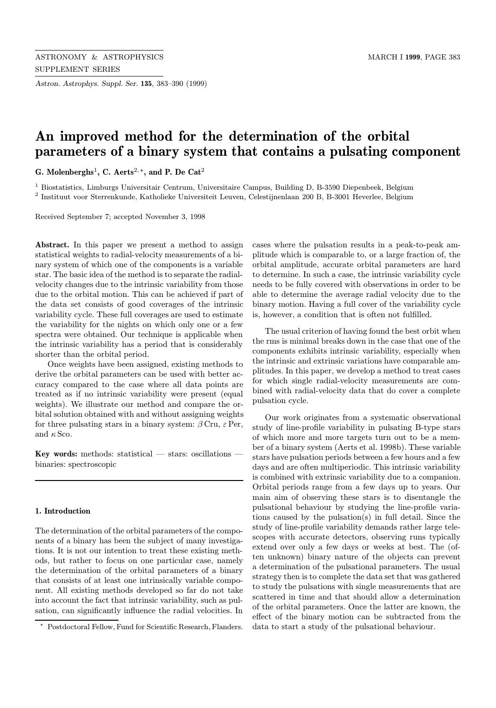Astron. Astrophys. Suppl. Ser. 135, 383–390 (1999)

# An improved method for the determination of the orbital parameters of a binary system that contains a pulsating component

G. Molenberghs<sup>1</sup>, C. Aerts<sup>2,  $\star$ </sup>, and P. De Cat<sup>2</sup>

<sup>1</sup> Biostatistics, Limburgs Universitair Centrum, Universitaire Campus, Building D, B-3590 Diepenbeek, Belgium <sup>2</sup> Instituut voor Sterrenkunde, Katholieke Universiteit Leuven, Celestijnenlaan 200 B, B-3001 Heverlee, Belgium

Received September 7; accepted November 3, 1998

Abstract. In this paper we present a method to assign statistical weights to radial-velocity measurements of a binary system of which one of the components is a variable star. The basic idea of the method is to separate the radialvelocity changes due to the intrinsic variability from those due to the orbital motion. This can be achieved if part of the data set consists of good coverages of the intrinsic variability cycle. These full coverages are used to estimate the variability for the nights on which only one or a few spectra were obtained. Our technique is applicable when the intrinsic variability has a period that is considerably shorter than the orbital period.

Once weights have been assigned, existing methods to derive the orbital parameters can be used with better accuracy compared to the case where all data points are treated as if no intrinsic variability were present (equal weights). We illustrate our method and compare the orbital solution obtained with and without assigning weights for three pulsating stars in a binary system:  $\beta$  Cru,  $\varepsilon$  Per, and  $\kappa$  Sco.

Key words: methods: statistical  $-$  stars: oscillations  $$ binaries: spectroscopic

#### 1. Introduction

The determination of the orbital parameters of the components of a binary has been the subject of many investigations. It is not our intention to treat these existing methods, but rather to focus on one particular case, namely the determination of the orbital parameters of a binary that consists of at least one intrinsically variable component. All existing methods developed so far do not take into account the fact that intrinsic variability, such as pulsation, can significantly influence the radial velocities. In cases where the pulsation results in a peak-to-peak amplitude which is comparable to, or a large fraction of, the orbital amplitude, accurate orbital parameters are hard to determine. In such a case, the intrinsic variability cycle needs to be fully covered with observations in order to be able to determine the average radial velocity due to the binary motion. Having a full cover of the variability cycle is, however, a condition that is often not fulfilled.

The usual criterion of having found the best orbit when the rms is minimal breaks down in the case that one of the components exhibits intrinsic variability, especially when the intrinsic and extrinsic variations have comparable amplitudes. In this paper, we develop a method to treat cases for which single radial-velocity measurements are combined with radial-velocity data that do cover a complete pulsation cycle.

Our work originates from a systematic observational study of line-profile variability in pulsating B-type stars of which more and more targets turn out to be a member of a binary system (Aerts et al. 1998b). These variable stars have pulsation periods between a few hours and a few days and are often multiperiodic. This intrinsic variability is combined with extrinsic variability due to a companion. Orbital periods range from a few days up to years. Our main aim of observing these stars is to disentangle the pulsational behaviour by studying the line-profile variations caused by the pulsation(s) in full detail. Since the study of line-profile variability demands rather large telescopes with accurate detectors, observing runs typically extend over only a few days or weeks at best. The (often unknown) binary nature of the objects can prevent a determination of the pulsational parameters. The usual strategy then is to complete the data set that was gathered to study the pulsations with single measurements that are scattered in time and that should allow a determination of the orbital parameters. Once the latter are known, the effect of the binary motion can be subtracted from the data to start a study of the pulsational behaviour.

<sup>?</sup> Postdoctoral Fellow, Fund for Scientific Research, Flanders.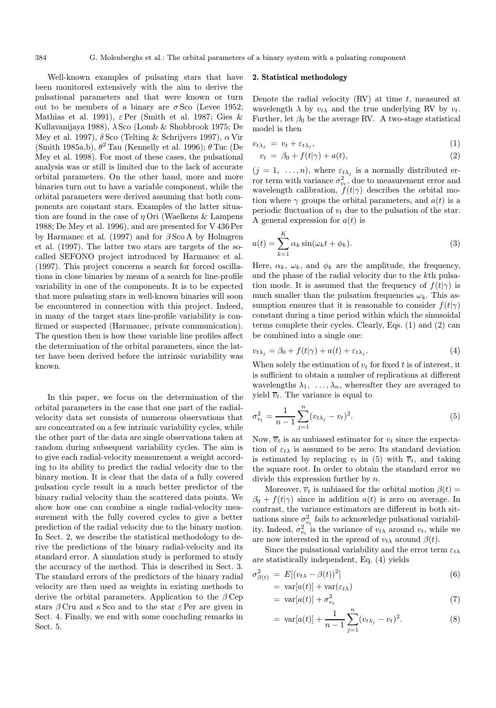Well-known examples of pulsating stars that have been monitored extensively with the aim to derive the pulsational parameters and that were known or turn out to be members of a binary are  $\sigma$  Sco (Levee 1952; Mathias et al. 1991),  $\varepsilon$ Per (Smith et al. 1987; Gies & Kullavanijaya 1988),  $\lambda$  Sco (Lomb & Shobbrook 1975; De Mey et al. 1997),  $\delta$  Sco (Telting & Schrijvers 1997),  $\alpha$  Vir (Smith 1985a,b),  $\theta^2$  Tau (Kennelly et al. 1996);  $\theta$  Tuc (De Mey et al. 1998). For most of these cases, the pulsational analysis was or still is limited due to the lack of accurate orbital parameters. On the other hand, more and more binaries turn out to have a variable component, while the orbital parameters were derived assuming that both components are constant stars. Examples of the latter situation are found in the case of  $\eta$  Ori (Waelkens & Lampens 1988; De Mey et al. 1996), and are presented for V 436 Per by Harmanec et al. (1997) and for  $\beta$  Sco A by Holmgren et al. (1997). The latter two stars are targets of the socalled SEFONO project introduced by Harmanec et al. (1997). This project concerns a search for forced oscillations in close binaries by means of a search for line-profile variability in one of the components. It is to be expected that more pulsating stars in well-known binaries will soon be encountered in connection with this project. Indeed, in many of the target stars line-profile variability is confirmed or suspected (Harmanec, private communication). The question then is how these variable line profiles affect the determination of the orbital parameters, since the latter have been derived before the intrinsic variability was known.

In this paper, we focus on the determination of the orbital parameters in the case that one part of the radialvelocity data set consists of numerous observations that are concentrated on a few intrinsic variability cycles, while the other part of the data are single observations taken at random during subsequent variability cycles. The aim is to give each radial-velocity measurement a weight according to its ability to predict the radial velocity due to the binary motion. It is clear that the data of a fully covered pulsation cycle result in a much better predictor of the binary radial velocity than the scattered data points. We show how one can combine a single radial-velocity measurement with the fully covered cycles to give a better prediction of the radial velocity due to the binary motion. In Sect. 2, we describe the statistical methodology to derive the predictions of the binary radial-velocity and its standard error. A simulation study is performed to study the accuracy of the method. This is described in Sect. 3. The standard errors of the predictors of the binary radial velocity are then used as weights in existing methods to derive the orbital parameters. Application to the  $\beta$  Cep stars  $\beta$  Cru and  $\kappa$  Sco and to the star  $\varepsilon$  Per are given in Sect. 4. Finally, we end with some concluding remarks in Sect. 5.

#### 2. Statistical methodology

Denote the radial velocity  $(RV)$  at time t, measured at wavelength  $\lambda$  by  $v_t\lambda$  and the true underlying RV by  $v_t$ . Further, let  $\beta_0$  be the average RV. A two-stage statistical model is then

$$
v_{t\lambda_j} = v_t + \varepsilon_{t\lambda_j}, \tag{1}
$$

$$
v_t = \beta_0 + f(t|\gamma) + a(t), \qquad (2)
$$

 $(j = 1, \ldots, n)$ , where  $\varepsilon_{t\lambda_j}$  is a normally distributed error term with variance  $\sigma_{v_t}^2$ , due to measurement error and wavelength calibration,  $f(t|\gamma)$  describes the orbital motion where  $\gamma$  groups the orbital parameters, and  $a(t)$  is a periodic fluctuation of  $v_t$  due to the pulsation of the star. A general expression for  $a(t)$  is

$$
a(t) = \sum_{k=1}^{K} \alpha_k \sin(\omega_k t + \phi_k).
$$
 (3)

Here,  $\alpha_k$ ,  $\omega_k$ , and  $\phi_k$  are the amplitude, the frequency, and the phase of the radial velocity due to the kth pulsation mode. It is assumed that the frequency of  $f(t|\gamma)$  is much smaller than the pulsation frequencies  $\omega_k$ . This assumption ensures that it is reasonable to consider  $f(t|\gamma)$ constant during a time period within which the sinusoidal terms complete their cycles. Clearly, Eqs. (1) and (2) can be combined into a single one:

$$
v_{t\lambda_j} = \beta_0 + f(t|\gamma) + a(t) + \varepsilon_{t\lambda_j}.
$$
\n(4)

When solely the estimation of  $v_t$  for fixed t is of interest, it is sufficient to obtain a number of replications at different wavelengths  $\lambda_1, \ldots, \lambda_n$ , whereafter they are averaged to yield  $\overline{v}_t$ . The variance is equal to

$$
\sigma_{v_t}^2 = \frac{1}{n-1} \sum_{j=1}^n (v_{t\lambda_j} - v_t)^2.
$$
\n(5)

Now,  $\overline{v}_t$  is an unbiased estimator for  $v_t$  since the expectation of  $\varepsilon_{t\lambda}$  is assumed to be zero. Its standard deviation is estimated by replacing  $v_t$  in (5) with  $\overline{v}_t$ , and taking the square root. In order to obtain the standard error we divide this expression further by n.

Moreover,  $\overline{v}_t$  is unbiased for the orbital motion  $\beta(t) =$  $\beta_0 + f(t|\gamma)$  since in addition  $a(t)$  is zero on average. In contrast, the variance estimators are different in both situations since  $\sigma_{v_t}^2$  fails to acknowledge pulsational variability. Indeed,  $\sigma_{v_t}^2$  is the variance of  $v_{t\lambda}$  around  $v_t$ , while we are now interested in the spread of  $v_{t\lambda}$  around  $\beta(t)$ .

Since the pulsational variability and the error term  $\varepsilon_{t\lambda}$ are statistically independent, Eq. (4) yields

$$
\sigma_{\beta(t)}^2 = E[(v_{t\lambda} - \beta(t))^2]
$$
  
= 
$$
\text{var}[a(t)] + \text{var}(\varepsilon_{t\lambda})
$$
 (6)

$$
= \text{var}[a(t)] + \sigma_{v_t}^2 \tag{7}
$$

$$
= \operatorname{var}[a(t)] + \frac{1}{n-1} \sum_{j=1}^{n} (v_{t\lambda_j} - v_t)^2.
$$
 (8)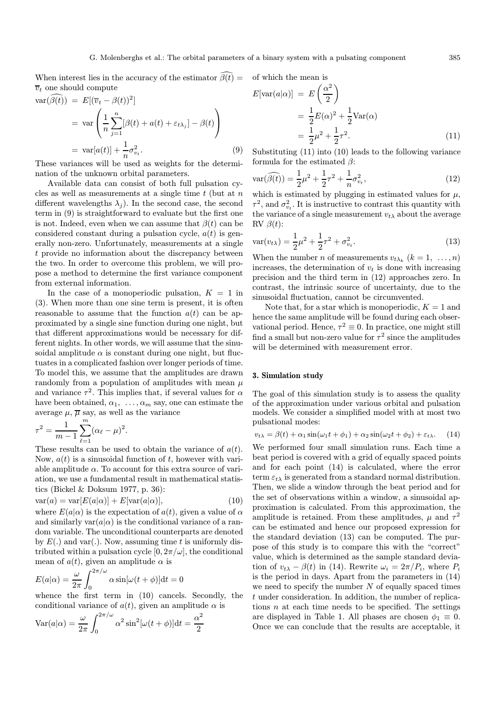When interest lies in the accuracy of the estimator  $\beta(t) = 0$  of which the mean is  $\overline{v}_t$  one should compute

$$
\operatorname{var}(\bar{\beta}(t)) = E[(\overline{v}_t - \beta(t))^2]
$$
  
= 
$$
\operatorname{var}\left(\frac{1}{n}\sum_{j=1}^n[\beta(t) + a(t) + \varepsilon_{t\lambda_j}] - \beta(t)\right)
$$
  
= 
$$
\operatorname{var}[a(t)] + \frac{1}{n}\sigma_{v_t}^2.
$$
 (9)

These variances will be used as weights for the determination of the unknown orbital parameters.

Available data can consist of both full pulsation cycles as well as measurements at a single time  $t$  (but at  $n$ ) different wavelengths  $\lambda_i$ ). In the second case, the second term in (9) is straightforward to evaluate but the first one is not. Indeed, even when we can assume that  $\beta(t)$  can be considered constant during a pulsation cycle,  $a(t)$  is generally non-zero. Unfortunately, measurements at a single t provide no information about the discrepancy between the two. In order to overcome this problem, we will propose a method to determine the first variance component from external information.

In the case of a monoperiodic pulsation,  $K = 1$  in (3). When more than one sine term is present, it is often reasonable to assume that the function  $a(t)$  can be approximated by a single sine function during one night, but that different approximations would be necessary for different nights. In other words, we will assume that the sinusoidal amplitude  $\alpha$  is constant during one night, but fluctuates in a complicated fashion over longer periods of time. To model this, we assume that the amplitudes are drawn randomly from a population of amplitudes with mean  $\mu$ and variance  $\tau^2$ . This implies that, if several values for  $\alpha$ have been obtained,  $\alpha_1, \ldots, \alpha_m$  say, one can estimate the average  $\mu$ ,  $\overline{\mu}$  say, as well as the variance

$$
\tau^{2} = \frac{1}{m-1} \sum_{\ell=1}^{m} (\alpha_{\ell} - \mu)^{2}.
$$

These results can be used to obtain the variance of  $a(t)$ . Now,  $a(t)$  is a sinusoidal function of t, however with variable amplitude  $\alpha$ . To account for this extra source of variation, we use a fundamental result in mathematical statistics (Bickel & Doksum 1977, p. 36):

$$
var(a) = var[E(a|\alpha)] + E[var(a|\alpha)], \qquad (10)
$$

where  $E(a|\alpha)$  is the expectation of  $a(t)$ , given a value of  $\alpha$ and similarly  $var(a|\alpha)$  is the conditional variance of a random variable. The unconditional counterparts are denoted by  $E(.)$  and var(.). Now, assuming time t is uniformly distributed within a pulsation cycle  $[0, 2\pi/\omega]$ , the conditional mean of  $a(t)$ , given an amplitude  $\alpha$  is

$$
E(a|\alpha) = \frac{\omega}{2\pi} \int_0^{2\pi/\omega} \alpha \sin[\omega(t+\phi)]dt = 0
$$

whence the first term in (10) cancels. Secondly, the conditional variance of  $a(t)$ , given an amplitude  $\alpha$  is

$$
Var(a|\alpha) = \frac{\omega}{2\pi} \int_0^{2\pi/\omega} \alpha^2 \sin^2[\omega(t+\phi)]dt = \frac{\alpha^2}{2}
$$

$$
E[\text{var}(a|\alpha)] = E\left(\frac{\alpha^2}{2}\right)
$$
  
=  $\frac{1}{2}E(\alpha)^2 + \frac{1}{2}\text{Var}(\alpha)$   
=  $\frac{1}{2}\mu^2 + \frac{1}{2}\tau^2$ . (11)

Substituting (11) into (10) leads to the following variance formula for the estimated  $\beta$ :

$$
\text{var}(\widehat{\beta(t)}) = \frac{1}{2}\mu^2 + \frac{1}{2}\tau^2 + \frac{1}{n}\sigma_{v_t}^2,\tag{12}
$$

which is estimated by plugging in estimated values for  $\mu$ ,  $\tau^2$ , and  $\sigma_{v_t}^2$ . It is instructive to contrast this quantity with the variance of a single measurement  $v_{t\lambda}$  about the average RV  $\beta(t)$ :

$$
\text{var}(v_{t\lambda}) = \frac{1}{2}\mu^2 + \frac{1}{2}\tau^2 + \sigma_{v_t}^2.
$$
 (13)

When the number *n* of measurements  $v_{t\lambda_k}$   $(k = 1, \ldots, n)$ increases, the determination of  $v_t$  is done with increasing precision and the third term in (12) approaches zero. In contrast, the intrinsic source of uncertainty, due to the sinusoidal fluctuation, cannot be circumvented.

Note that, for a star which is monoperiodic,  $K = 1$  and hence the same amplitude will be found during each observational period. Hence,  $\tau^2 \equiv 0$ . In practice, one might still find a small but non-zero value for  $\tau^2$  since the amplitudes will be determined with measurement error.

## 3. Simulation study

The goal of this simulation study is to assess the quality of the approximation under various orbital and pulsation models. We consider a simplified model with at most two pulsational modes:

$$
v_{t\lambda} = \beta(t) + \alpha_1 \sin(\omega_1 t + \phi_1) + \alpha_2 \sin(\omega_2 t + \phi_2) + \varepsilon_{t\lambda}.
$$
 (14)

We performed four small simulation runs. Each time a beat period is covered with a grid of equally spaced points and for each point (14) is calculated, where the error term  $\varepsilon_{t\lambda}$  is generated from a standard normal distribution. Then, we slide a window through the beat period and for the set of observations within a window, a sinusoidal approximation is calculated. From this approximation, the amplitude is retained. From these amplitudes,  $\mu$  and  $\tau^2$ can be estimated and hence our proposed expression for the standard deviation (13) can be computed. The purpose of this study is to compare this with the "correct" value, which is determined as the sample standard deviation of  $v_{t\lambda} - \beta(t)$  in (14). Rewrite  $\omega_i = 2\pi/P_i$ , where  $P_i$ is the period in days. Apart from the parameters in (14) we need to specify the number  $N$  of equally spaced times t under consideration. In addition, the number of replications  $n$  at each time needs to be specified. The settings are displayed in Table 1. All phases are chosen  $\phi_1 \equiv 0$ . Once we can conclude that the results are acceptable, it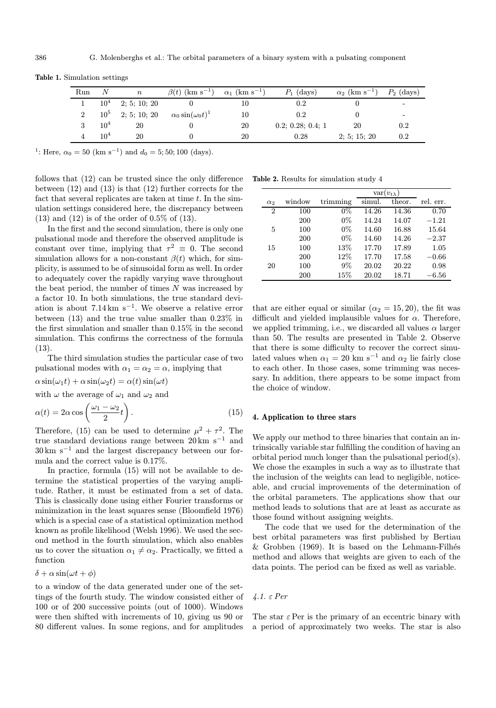| Run      |                 | $\it n$      | $\beta(t)$ (km s <sup>-1</sup> ) | $\alpha_1$ (km s <sup>-1</sup> ) | $P_1$ (days)      | $\alpha_2$ (km s <sup>-1</sup> ) | $P_2$ (days) |
|----------|-----------------|--------------|----------------------------------|----------------------------------|-------------------|----------------------------------|--------------|
|          | $10^4$          | 2; 5; 10; 20 |                                  |                                  | $0.2\,$           |                                  |              |
| $\Omega$ | 10 <sup>5</sup> | 2; 5; 10; 20 | $\alpha_0 \sin(\omega_0 t)^1$    | 10                               | 0.2               |                                  | -            |
|          | $10^{4}$        | 20           |                                  | 20                               | 0.2; 0.28; 0.4; 1 | 20                               | $0.2\,$      |
|          | 10 <sup>4</sup> | 20           |                                  | 20                               | 0.28              | 2; 5; 15; 20                     | 0.2          |

Table 1. Simulation settings

<sup>1</sup>: Here,  $\alpha_0 = 50$  (km s<sup>-1</sup>) and  $d_0 = 5$ ; 50; 100 (days).

follows that (12) can be trusted since the only difference between (12) and (13) is that (12) further corrects for the fact that several replicates are taken at time  $t$ . In the simulation settings considered here, the discrepancy between (13) and (12) is of the order of 0.5% of (13).

In the first and the second simulation, there is only one pulsational mode and therefore the observed amplitude is constant over time, implying that  $\tau^2 \equiv 0$ . The second simulation allows for a non-constant  $\beta(t)$  which, for simplicity, is assumed to be of sinusoidal form as well. In order to adequately cover the rapidly varying wave throughout the beat period, the number of times  $N$  was increased by a factor 10. In both simulations, the true standard deviation is about  $7.14 \text{ km s}^{-1}$ . We observe a relative error between (13) and the true value smaller than 0.23% in the first simulation and smaller than 0.15% in the second simulation. This confirms the correctness of the formula (13).

The third simulation studies the particular case of two pulsational modes with  $\alpha_1 = \alpha_2 = \alpha$ , implying that

 $\alpha \sin(\omega_1 t) + \alpha \sin(\omega_2 t) = \alpha(t) \sin(\omega t)$ 

with  $\omega$  the average of  $\omega_1$  and  $\omega_2$  and

$$
\alpha(t) = 2\alpha \cos\left(\frac{\omega_1 - \omega_2}{2}t\right). \tag{15}
$$

Therefore, (15) can be used to determine  $\mu^2 + \tau^2$ . The true standard deviations range between  $20 \text{ km s}^{-1}$  and 30 km s<sup>−</sup><sup>1</sup> and the largest discrepancy between our formula and the correct value is 0.17%.

In practice, formula (15) will not be available to determine the statistical properties of the varying amplitude. Rather, it must be estimated from a set of data. This is classically done using either Fourier transforms or minimization in the least squares sense (Bloomfield 1976) which is a special case of a statistical optimization method known as profile likelihood (Welsh 1996). We used the second method in the fourth simulation, which also enables us to cover the situation  $\alpha_1 \neq \alpha_2$ . Practically, we fitted a function

$$
\delta + \alpha \sin(\omega t + \phi)
$$

to a window of the data generated under one of the settings of the fourth study. The window consisted either of 100 or of 200 successive points (out of 1000). Windows were then shifted with increments of 10, giving us 90 or 80 different values. In some regions, and for amplitudes

Table 2. Results for simulation study 4

|                |        | $var(v_{t\lambda})$ |        |        |           |
|----------------|--------|---------------------|--------|--------|-----------|
| $\alpha_2$     | window | trimming            | simul. | theor. | rel. err. |
| $\overline{2}$ | 100    | $0\%$               | 14.26  | 14.36  | 0.70      |
|                | 200    | $0\%$               | 14.24  | 14.07  | $-1.21\,$ |
| 5              | 100    | $0\%$               | 14.60  | 16.88  | 15.64     |
|                | 200    | $0\%$               | 14.60  | 14.26  | $-2.37$   |
| 15             | 100    | 13%                 | 17.70  | 17.89  | 1.05      |
|                | 200    | 12%                 | 17.70  | 17.58  | $-0.66$   |
| 20             | 100    | $9\%$               | 20.02  | 20.22  | 0.98      |
|                | 200    | 15%                 | 20.02  | 18.71  | $-6.56$   |

that are either equal or similar ( $\alpha_2 = 15, 20$ ), the fit was difficult and yielded implausible values for  $\alpha$ . Therefore, we applied trimming, i.e., we discarded all values  $\alpha$  larger than 50. The results are presented in Table 2. Observe that there is some difficulty to recover the correct simulated values when  $\alpha_1 = 20$  km s<sup>-1</sup> and  $\alpha_2$  lie fairly close to each other. In those cases, some trimming was necessary. In addition, there appears to be some impact from the choice of window.

## 4. Application to three stars

We apply our method to three binaries that contain an intrinsically variable star fulfilling the condition of having an orbital period much longer than the pulsational period(s). We chose the examples in such a way as to illustrate that the inclusion of the weights can lead to negligible, noticeable, and crucial improvements of the determination of the orbital parameters. The applications show that our method leads to solutions that are at least as accurate as those found without assigning weights.

The code that we used for the determination of the best orbital parameters was first published by Bertiau  $& Grobben$  (1969). It is based on the Lehmann-Filhés method and allows that weights are given to each of the data points. The period can be fixed as well as variable.

4.1. ε Per

The star  $\varepsilon$  Per is the primary of an eccentric binary with a period of approximately two weeks. The star is also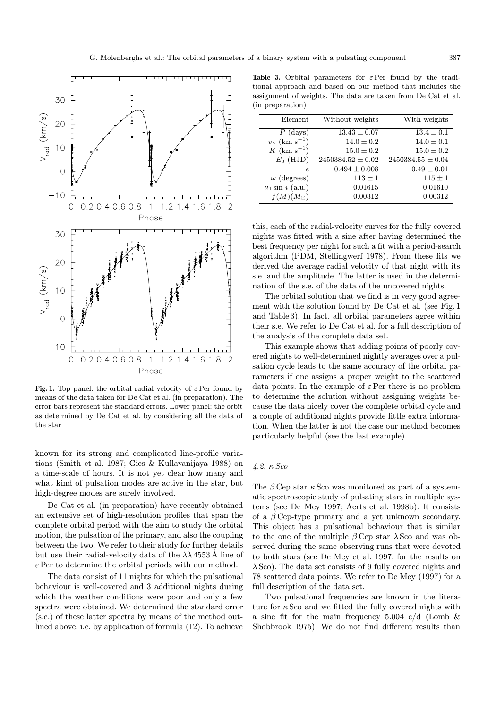

Fig. 1. Top panel: the orbital radial velocity of  $\varepsilon$  Per found by means of the data taken for De Cat et al. (in preparation). The error bars represent the standard errors. Lower panel: the orbit as determined by De Cat et al. by considering all the data of the star

known for its strong and complicated line-profile variations (Smith et al. 1987; Gies & Kullavanijaya 1988) on a time-scale of hours. It is not yet clear how many and what kind of pulsation modes are active in the star, but high-degree modes are surely involved.

De Cat et al. (in preparation) have recently obtained an extensive set of high-resolution profiles that span the complete orbital period with the aim to study the orbital motion, the pulsation of the primary, and also the coupling between the two. We refer to their study for further details but use their radial-velocity data of the  $\lambda\lambda$  4553 Å line of  $\varepsilon$  Per to determine the orbital periods with our method.

The data consist of 11 nights for which the pulsational behaviour is well-covered and 3 additional nights during which the weather conditions were poor and only a few spectra were obtained. We determined the standard error (s.e.) of these latter spectra by means of the method outlined above, i.e. by application of formula (12). To achieve

Table 3. Orbital parameters for  $\varepsilon$  Per found by the traditional approach and based on our method that includes the assignment of weights. The data are taken from De Cat et al. (in preparation)

| Element                            | Without weights       | With weights          |
|------------------------------------|-----------------------|-----------------------|
| $P$ (days)                         | $13.43 \pm 0.07$      | $13.4 \pm 0.1$        |
| $v_{\gamma}$ (km s <sup>-1</sup> ) | $14.0 \pm 0.2$        | $14.0 \pm 0.1$        |
| $K~({\rm km~s}^{-1})$              | $15.0 \pm 0.2$        | $15.0 \pm 0.2$        |
| $E_0$ (HJD)                        | $2450384.52 \pm 0.02$ | $2450384.55 \pm 0.04$ |
| $\epsilon$                         | $0.494 \pm 0.008$     | $0.49 \pm 0.01$       |
| $\omega$ (degrees)                 | $113 \pm 1$           | $115 \pm 1$           |
| $a_1 \sin i$ (a.u.)                | 0.01615               | 0.01610               |
| $f(M)(M_{\odot})$                  | 0.00312               | 0.00312               |

this, each of the radial-velocity curves for the fully covered nights was fitted with a sine after having determined the best frequency per night for such a fit with a period-search algorithm (PDM, Stellingwerf 1978). From these fits we derived the average radial velocity of that night with its s.e. and the amplitude. The latter is used in the determination of the s.e. of the data of the uncovered nights.

The orbital solution that we find is in very good agreement with the solution found by De Cat et al. (see Fig. 1 and Table 3). In fact, all orbital parameters agree within their s.e. We refer to De Cat et al. for a full description of the analysis of the complete data set.

This example shows that adding points of poorly covered nights to well-determined nightly averages over a pulsation cycle leads to the same accuracy of the orbital parameters if one assigns a proper weight to the scattered data points. In the example of  $\varepsilon$  Per there is no problem to determine the solution without assigning weights because the data nicely cover the complete orbital cycle and a couple of additional nights provide little extra information. When the latter is not the case our method becomes particularly helpful (see the last example).

## 4.2. κ Sco

The  $\beta$  Cep star  $\kappa$  Sco was monitored as part of a systematic spectroscopic study of pulsating stars in multiple systems (see De Mey 1997; Aerts et al. 1998b). It consists of a  $\beta$  Cep-type primary and a yet unknown secondary. This object has a pulsational behaviour that is similar to the one of the multiple  $\beta$  Cep star  $\lambda$  Sco and was observed during the same observing runs that were devoted to both stars (see De Mey et al. 1997, for the results on  $\lambda$  Sco). The data set consists of 9 fully covered nights and 78 scattered data points. We refer to De Mey (1997) for a full description of the data set.

Two pulsational frequencies are known in the literature for  $\kappa$  Sco and we fitted the fully covered nights with a sine fit for the main frequency 5.004  $c/d$  (Lomb  $\&$ Shobbrook 1975). We do not find different results than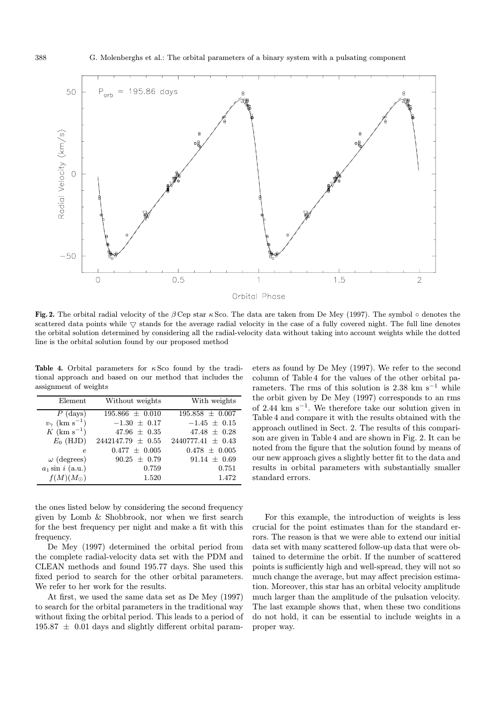

Fig. 2. The orbital radial velocity of the  $\beta$  Cep star  $\kappa$  Sco. The data are taken from De Mey (1997). The symbol  $\circ$  denotes the scattered data points while  $\nabla$  stands for the average radial velocity in the case of a fully covered night. The full line denotes the orbital solution determined by considering all the radial-velocity data without taking into account weights while the dotted line is the orbital solution found by our proposed method

Table 4. Orbital parameters for  $\kappa$  Sco found by the traditional approach and based on our method that includes the assignment of weights

| Element                            | Without weights       | With weights          |
|------------------------------------|-----------------------|-----------------------|
| $P$ (days)                         | $195.866 \pm 0.010$   | $195.858 \pm 0.007$   |
| $v_{\gamma}$ (km s <sup>-1</sup> ) | $-1.30 \pm 0.17$      | $-1.45 \pm 0.15$      |
| $K$ (km s <sup>-1</sup> )          | $47.96 \pm 0.35$      | $47.48 \pm 0.28$      |
| $E_0$ (HJD)                        | $2442147.79 \pm 0.55$ | $2440777.41 \pm 0.43$ |
| $\epsilon$                         | $0.477 \pm 0.005$     | $0.478 \pm 0.005$     |
| $\omega$ (degrees)                 | $90.25 \pm 0.79$      | $91.14 \pm 0.69$      |
| $a_1 \sin i$ (a.u.)                | 0.759                 | 0.751                 |
| $f(M)(M_{\odot})$                  | 1.520                 | 1.472                 |

the ones listed below by considering the second frequency given by Lomb & Shobbrook, nor when we first search for the best frequency per night and make a fit with this frequency.

De Mey (1997) determined the orbital period from the complete radial-velocity data set with the PDM and CLEAN methods and found 195.77 days. She used this fixed period to search for the other orbital parameters. We refer to her work for the results.

At first, we used the same data set as De Mey (1997) to search for the orbital parameters in the traditional way without fixing the orbital period. This leads to a period of  $195.87 \pm 0.01$  days and slightly different orbital parameters as found by De Mey (1997). We refer to the second column of Table 4 for the values of the other orbital parameters. The rms of this solution is 2.38 km s<sup> $-1$ </sup> while the orbit given by De Mey (1997) corresponds to an rms of 2.44 km s<sup> $-1$ </sup>. We therefore take our solution given in Table 4 and compare it with the results obtained with the approach outlined in Sect. 2. The results of this comparison are given in Table 4 and are shown in Fig. 2. It can be noted from the figure that the solution found by means of our new approach gives a slightly better fit to the data and results in orbital parameters with substantially smaller standard errors.

For this example, the introduction of weights is less crucial for the point estimates than for the standard errors. The reason is that we were able to extend our initial data set with many scattered follow-up data that were obtained to determine the orbit. If the number of scattered points is sufficiently high and well-spread, they will not so much change the average, but may affect precision estimation. Moreover, this star has an orbital velocity amplitude much larger than the amplitude of the pulsation velocity. The last example shows that, when these two conditions do not hold, it can be essential to include weights in a proper way.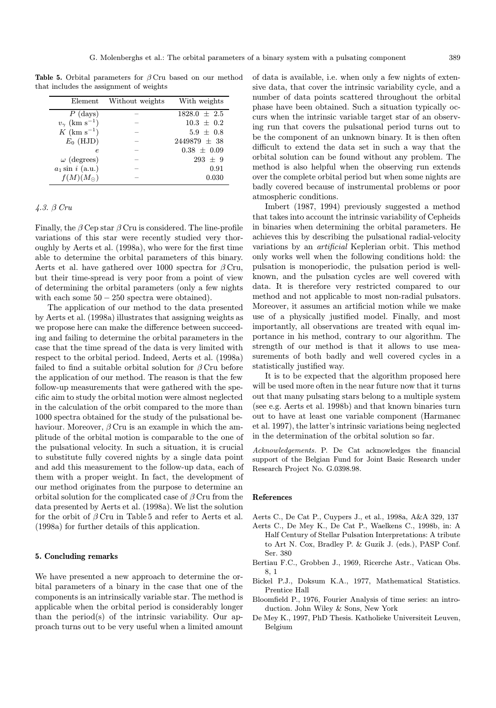Table 5. Orbital parameters for  $\beta$  Cru based on our method that includes the assignment of weights

| Element                            | Without weights | With weights     |
|------------------------------------|-----------------|------------------|
| $P$ (days)                         |                 | $1828.0 \pm 2.5$ |
| $v_{\gamma}$ (km s <sup>-1</sup> ) |                 | $10.3 \pm 0.2$   |
| $K$ (km s <sup>-1</sup> )          |                 | $5.9 \pm 0.8$    |
| $E_0$ (HJD)                        |                 | $2449879 \pm 38$ |
| e                                  |                 | $0.38 \pm 0.09$  |
| $\omega$ (degrees)                 |                 | $293 \pm 9$      |
| $a_1$ sin i (a.u.)                 |                 | 0.91             |
| $f(M)(M_{\odot})$                  |                 | 0.030            |

# 4.3. β Cru

Finally, the  $\beta$  Cep star  $\beta$  Cru is considered. The line-profile variations of this star were recently studied very thoroughly by Aerts et al. (1998a), who were for the first time able to determine the orbital parameters of this binary. Aerts et al. have gathered over 1000 spectra for  $\beta$  Cru, but their time-spread is very poor from a point of view of determining the orbital parameters (only a few nights with each some  $50 - 250$  spectra were obtained).

The application of our method to the data presented by Aerts et al. (1998a) illustrates that assigning weights as we propose here can make the difference between succeeding and failing to determine the orbital parameters in the case that the time spread of the data is very limited with respect to the orbital period. Indeed, Aerts et al. (1998a) failed to find a suitable orbital solution for  $\beta$  Cru before the application of our method. The reason is that the few follow-up measurements that were gathered with the specific aim to study the orbital motion were almost neglected in the calculation of the orbit compared to the more than 1000 spectra obtained for the study of the pulsational behaviour. Moreover,  $\beta$  Cru is an example in which the amplitude of the orbital motion is comparable to the one of the pulsational velocity. In such a situation, it is crucial to substitute fully covered nights by a single data point and add this measurement to the follow-up data, each of them with a proper weight. In fact, the development of our method originates from the purpose to determine an orbital solution for the complicated case of  $\beta$  Cru from the data presented by Aerts et al. (1998a). We list the solution for the orbit of  $\beta$  Cru in Table 5 and refer to Aerts et al. (1998a) for further details of this application.

#### 5. Concluding remarks

We have presented a new approach to determine the orbital parameters of a binary in the case that one of the components is an intrinsically variable star. The method is applicable when the orbital period is considerably longer than the period(s) of the intrinsic variability. Our approach turns out to be very useful when a limited amount

of data is available, i.e. when only a few nights of extensive data, that cover the intrinsic variability cycle, and a number of data points scattered throughout the orbital phase have been obtained. Such a situation typically occurs when the intrinsic variable target star of an observing run that covers the pulsational period turns out to be the component of an unknown binary. It is then often difficult to extend the data set in such a way that the orbital solution can be found without any problem. The method is also helpful when the observing run extends over the complete orbital period but when some nights are badly covered because of instrumental problems or poor atmospheric conditions.

Imbert (1987, 1994) previously suggested a method that takes into account the intrinsic variability of Cepheids in binaries when determining the orbital parameters. He achieves this by describing the pulsational radial-velocity variations by an artificial Keplerian orbit. This method only works well when the following conditions hold: the pulsation is monoperiodic, the pulsation period is wellknown, and the pulsation cycles are well covered with data. It is therefore very restricted compared to our method and not applicable to most non-radial pulsators. Moreover, it assumes an artificial motion while we make use of a physically justified model. Finally, and most importantly, all observations are treated with equal importance in his method, contrary to our algorithm. The strength of our method is that it allows to use measurements of both badly and well covered cycles in a statistically justified way.

It is to be expected that the algorithm proposed here will be used more often in the near future now that it turns out that many pulsating stars belong to a multiple system (see e.g. Aerts et al. 1998b) and that known binaries turn out to have at least one variable component (Harmanec et al. 1997), the latter's intrinsic variations being neglected in the determination of the orbital solution so far.

Acknowledgements. P. De Cat acknowledges the financial support of the Belgian Fund for Joint Basic Research under Research Project No. G.0398.98.

#### References

- Aerts C., De Cat P., Cuypers J., et al., 1998a, A&A 329, 137
- Aerts C., De Mey K., De Cat P., Waelkens C., 1998b, in: A Half Century of Stellar Pulsation Interpretations: A tribute to Art N. Cox, Bradley P. & Guzik J. (eds.), PASP Conf. Ser. 380
- Bertiau F.C., Grobben J., 1969, Ricerche Astr., Vatican Obs. 8, 1
- Bickel P.J., Doksum K.A., 1977, Mathematical Statistics. Prentice Hall
- Bloomfield P., 1976, Fourier Analysis of time series: an introduction. John Wiley & Sons, New York
- De Mey K., 1997, PhD Thesis. Katholieke Universiteit Leuven, Belgium